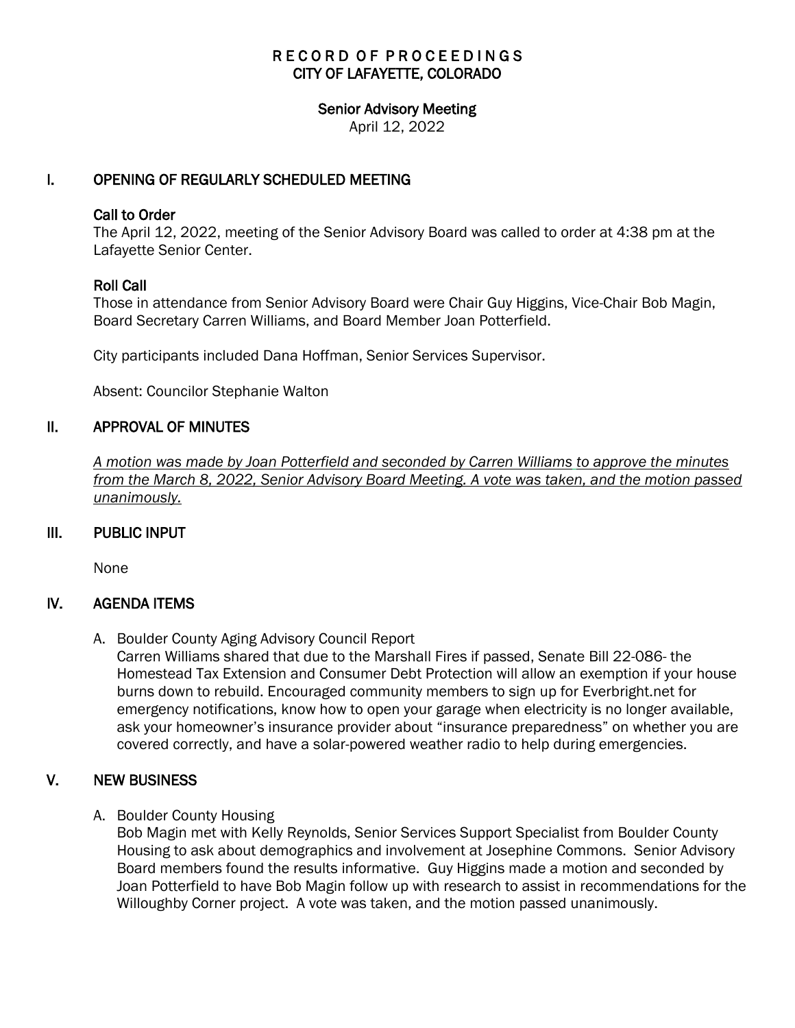# RECORD OF PROCEEDINGS CITY OF LAFAYETTE, COLORADO

#### Senior Advisory Meeting

April 12, 2022

# I. OPENING OF REGULARLY SCHEDULED MEETING

#### Call to Order

The April 12, 2022, meeting of the Senior Advisory Board was called to order at 4:38 pm at the Lafayette Senior Center.

## Roll Call

Those in attendance from Senior Advisory Board were Chair Guy Higgins, Vice-Chair Bob Magin, Board Secretary Carren Williams, and Board Member Joan Potterfield.

City participants included Dana Hoffman, Senior Services Supervisor.

Absent: Councilor Stephanie Walton

## II. APPROVAL OF MINUTES

 *A motion was made by Joan Potterfield and seconded by Carren Williams to approve the minutes from the March 8, 2022, Senior Advisory Board Meeting. A vote was taken, and the motion passed unanimously.*

## III. PUBLIC INPUT

None

## IV. AGENDA ITEMS

A. Boulder County Aging Advisory Council Report

Carren Williams shared that due to the Marshall Fires if passed, Senate Bill 22-086- the Homestead Tax Extension and Consumer Debt Protection will allow an exemption if your house burns down to rebuild. Encouraged community members to sign up for Everbright.net for emergency notifications, know how to open your garage when electricity is no longer available, ask your homeowner's insurance provider about "insurance preparedness" on whether you are covered correctly, and have a solar-powered weather radio to help during emergencies.

## V. NEW BUSINESS

A. Boulder County Housing

Bob Magin met with Kelly Reynolds, Senior Services Support Specialist from Boulder County Housing to ask about demographics and involvement at Josephine Commons. Senior Advisory Board members found the results informative. Guy Higgins made a motion and seconded by Joan Potterfield to have Bob Magin follow up with research to assist in recommendations for the Willoughby Corner project. A vote was taken, and the motion passed unanimously.